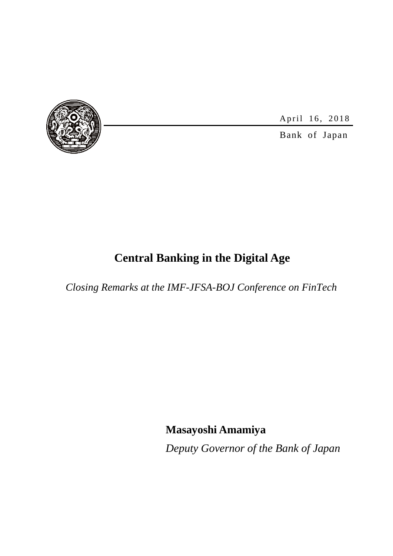

April 16, 2018

Bank of Japan

# **Central Banking in the Digital Age**

*Closing Remarks at the IMF-JFSA-BOJ Conference on FinTech*

**Masayoshi Amamiya**

*Deputy Governor of the Bank of Japan*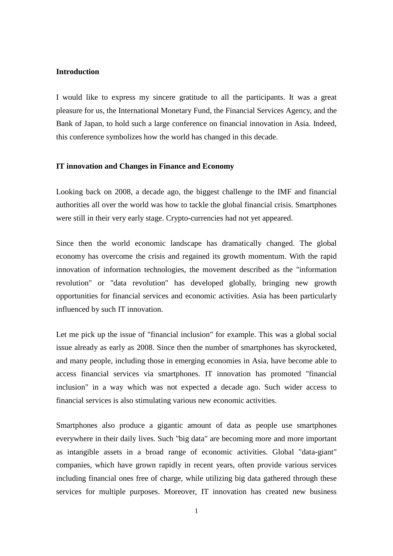# **Introduction**

I would like to express my sincere gratitude to all the participants. It was a great pleasure for us, the International Monetary Fund, the Financial Services Agency, and the Bank of Japan, to hold such a large conference on financial innovation in Asia. Indeed, this conference symbolizes how the world has changed in this decade.

### **IT innovation and Changes in Finance and Economy**

Looking back on 2008, a decade ago, the biggest challenge to the IMF and financial authorities all over the world was how to tackle the global financial crisis. Smartphones were still in their very early stage. Crypto-currencies had not yet appeared.

Since then the world economic landscape has dramatically changed. The global economy has overcome the crisis and regained its growth momentum. With the rapid innovation of information technologies, the movement described as the "information revolution" or "data revolution" has developed globally, bringing new growth opportunities for financial services and economic activities. Asia has been particularly influenced by such IT innovation.

Let me pick up the issue of "financial inclusion" for example. This was a global social issue already as early as 2008. Since then the number of smartphones has skyrocketed, and many people, including those in emerging economies in Asia, have become able to access financial services via smartphones. IT innovation has promoted "financial inclusion" in a way which was not expected a decade ago. Such wider access to financial services is also stimulating various new economic activities.

Smartphones also produce a gigantic amount of data as people use smartphones everywhere in their daily lives. Such "big data" are becoming more and more important as intangible assets in a broad range of economic activities. Global "data-giant" companies, which have grown rapidly in recent years, often provide various services including financial ones free of charge, while utilizing big data gathered through these services for multiple purposes. Moreover, IT innovation has created new business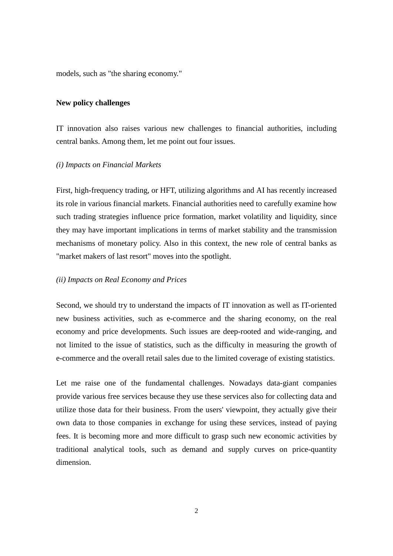models, such as "the sharing economy."

# **New policy challenges**

IT innovation also raises various new challenges to financial authorities, including central banks. Among them, let me point out four issues.

# *(i) Impacts on Financial Markets*

First, high-frequency trading, or HFT, utilizing algorithms and AI has recently increased its role in various financial markets. Financial authorities need to carefully examine how such trading strategies influence price formation, market volatility and liquidity, since they may have important implications in terms of market stability and the transmission mechanisms of monetary policy. Also in this context, the new role of central banks as "market makers of last resort" moves into the spotlight.

# *(ii) Impacts on Real Economy and Prices*

Second, we should try to understand the impacts of IT innovation as well as IT-oriented new business activities, such as e-commerce and the sharing economy, on the real economy and price developments. Such issues are deep-rooted and wide-ranging, and not limited to the issue of statistics, such as the difficulty in measuring the growth of e-commerce and the overall retail sales due to the limited coverage of existing statistics.

Let me raise one of the fundamental challenges. Nowadays data-giant companies provide various free services because they use these services also for collecting data and utilize those data for their business. From the users' viewpoint, they actually give their own data to those companies in exchange for using these services, instead of paying fees. It is becoming more and more difficult to grasp such new economic activities by traditional analytical tools, such as demand and supply curves on price-quantity dimension.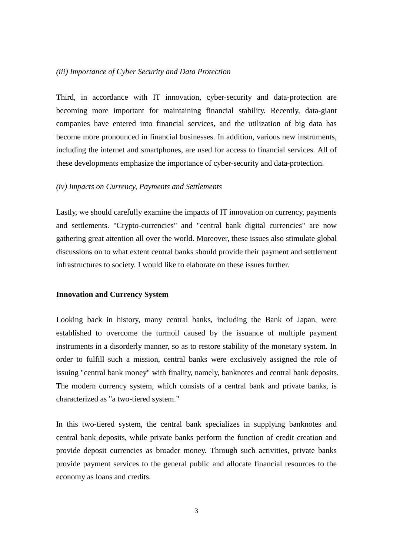# *(iii) Importance of Cyber Security and Data Protection*

Third, in accordance with IT innovation, cyber-security and data-protection are becoming more important for maintaining financial stability. Recently, data-giant companies have entered into financial services, and the utilization of big data has become more pronounced in financial businesses. In addition, various new instruments, including the internet and smartphones, are used for access to financial services. All of these developments emphasize the importance of cyber-security and data-protection.

#### *(iv) Impacts on Currency, Payments and Settlements*

Lastly, we should carefully examine the impacts of IT innovation on currency, payments and settlements. "Crypto-currencies" and "central bank digital currencies" are now gathering great attention all over the world. Moreover, these issues also stimulate global discussions on to what extent central banks should provide their payment and settlement infrastructures to society. I would like to elaborate on these issues further.

## **Innovation and Currency System**

Looking back in history, many central banks, including the Bank of Japan, were established to overcome the turmoil caused by the issuance of multiple payment instruments in a disorderly manner, so as to restore stability of the monetary system. In order to fulfill such a mission, central banks were exclusively assigned the role of issuing "central bank money" with finality, namely, banknotes and central bank deposits. The modern currency system, which consists of a central bank and private banks, is characterized as "a two-tiered system."

In this two-tiered system, the central bank specializes in supplying banknotes and central bank deposits, while private banks perform the function of credit creation and provide deposit currencies as broader money. Through such activities, private banks provide payment services to the general public and allocate financial resources to the economy as loans and credits.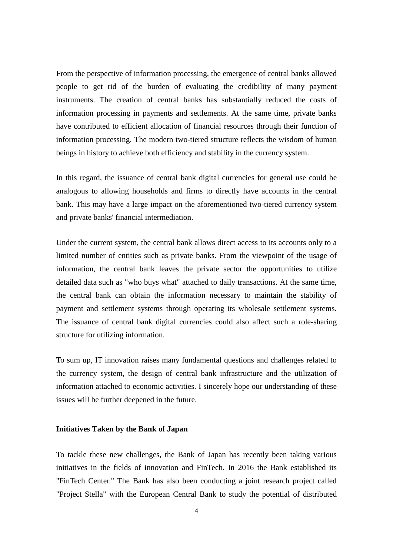From the perspective of information processing, the emergence of central banks allowed people to get rid of the burden of evaluating the credibility of many payment instruments. The creation of central banks has substantially reduced the costs of information processing in payments and settlements. At the same time, private banks have contributed to efficient allocation of financial resources through their function of information processing. The modern two-tiered structure reflects the wisdom of human beings in history to achieve both efficiency and stability in the currency system.

In this regard, the issuance of central bank digital currencies for general use could be analogous to allowing households and firms to directly have accounts in the central bank. This may have a large impact on the aforementioned two-tiered currency system and private banks' financial intermediation.

Under the current system, the central bank allows direct access to its accounts only to a limited number of entities such as private banks. From the viewpoint of the usage of information, the central bank leaves the private sector the opportunities to utilize detailed data such as "who buys what" attached to daily transactions. At the same time, the central bank can obtain the information necessary to maintain the stability of payment and settlement systems through operating its wholesale settlement systems. The issuance of central bank digital currencies could also affect such a role-sharing structure for utilizing information.

To sum up, IT innovation raises many fundamental questions and challenges related to the currency system, the design of central bank infrastructure and the utilization of information attached to economic activities. I sincerely hope our understanding of these issues will be further deepened in the future.

## **Initiatives Taken by the Bank of Japan**

To tackle these new challenges, the Bank of Japan has recently been taking various initiatives in the fields of innovation and FinTech. In 2016 the Bank established its "FinTech Center." The Bank has also been conducting a joint research project called "Project Stella" with the European Central Bank to study the potential of distributed